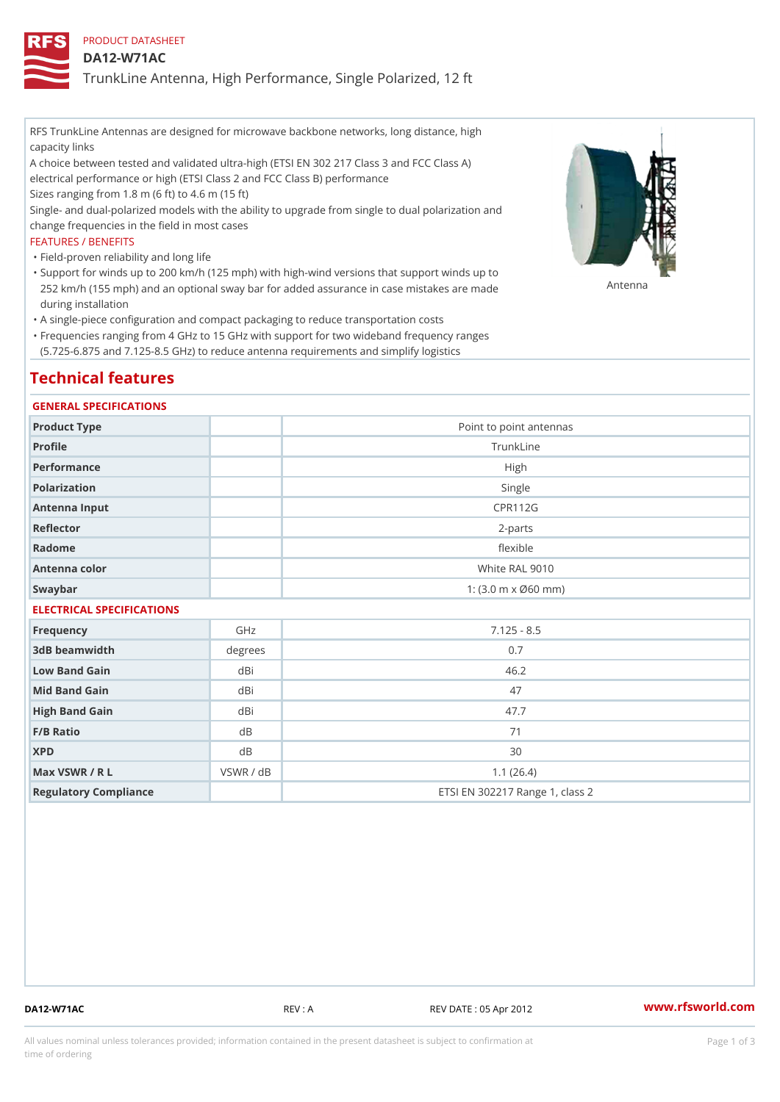## PRODUCT DATASHEET

## DA12-W71AC

TrunkLine Antenna, High Performance, Single Polarized, 12 ft

RFS TrunkLine Antennas are designed for microwave backbone networks, long distance, high capacity links

A choice between tested and validated ultra-high (ETSI EN 302 217 Class 3 and FCC Class A) electrical performance or high (ETSI Class 2 and FCC Class B) performance

Sizes ranging from 1.8 m (6 ft) to 4.6 m (15 ft)

Single- and dual-polarized models with the ability to upgrade from single to dual polarization and change frequencies in the field in most cases

### FEATURES / BENEFITS

"Field-proven reliability and long life

- Support for winds up to 200 km/h (125 mph) with high-wind versions that support winds up to " 252 km/h (155 mph) and an optional sway bar for added assurance in case m S # \$ R & B are made during installation
- "A single-piece configuration and compact packaging to reduce transportation costs
- Frequencies ranging from 4 GHz to 15 GHz with support for two wideband frequency ranges " (5.725-6.875 and 7.125-8.5 GHz) to reduce antenna requirements and simplify logistics

# Technical features

### GENERAL SPECIFICATIONS

| Product Type              | Point to point antennas                                 |  |  |  |
|---------------------------|---------------------------------------------------------|--|--|--|
| Profile                   | TrunkLine                                               |  |  |  |
| Performance               | High                                                    |  |  |  |
| Polarization              | Single                                                  |  |  |  |
| Antenna Input             | CPR112G                                                 |  |  |  |
| Reflector                 | $2 - p$ arts                                            |  |  |  |
| Radome                    | flexible                                                |  |  |  |
| Antenna color             | White RAL 9010                                          |  |  |  |
| Swaybar                   | 1: $(3.0 \, \text{m} \times \emptyset 60 \, \text{mm})$ |  |  |  |
| ELECTRICAL SPECIFICATIONS |                                                         |  |  |  |
|                           |                                                         |  |  |  |

| Frequency             | GHz       | $7.125 - 8.5$                   |
|-----------------------|-----------|---------------------------------|
| 3dB beamwidth         | degree    | 0.7                             |
| Low Band Gain         | dBi       | 46.2                            |
| Mid Band Gain         | dBi       | 47                              |
| High Band Gain        | dBi       | 47.7                            |
| $F/B$ Ratio           | d B       | 71                              |
| <b>XPD</b>            | d B       | 30                              |
| Max VSWR / R L        | VSWR / dB | 1.1(26.4)                       |
| Regulatory Compliance |           | ETSI EN 302217 Range 1, class 2 |

DA12-W71AC REV : A REV DATE : 05 Apr 2012 [www.](https://www.rfsworld.com)rfsworld.com

All values nominal unless tolerances provided; information contained in the present datasheet is subject to Pcapgeign mation time of ordering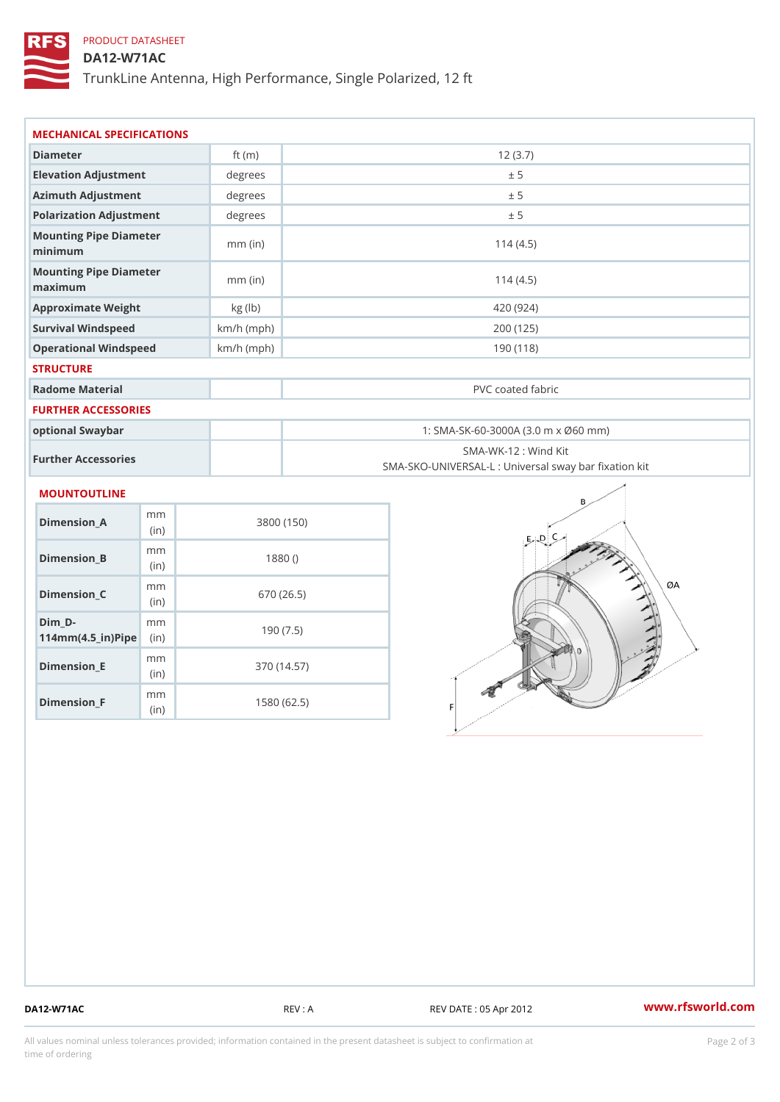# PRODUCT DATASHEET

## DA12-W71AC

TrunkLine Antenna, High Performance, Single Polarized, 12 ft

| MECHANICAL SPECIFICATIONS                                                  |              |            |                      |                                                   |
|----------------------------------------------------------------------------|--------------|------------|----------------------|---------------------------------------------------|
| Diameter                                                                   | ft $(m)$     | 12(3.7)    |                      |                                                   |
| Elevation Adjustment                                                       | degrees      |            | ± 5                  |                                                   |
| Azimuth Adjustment                                                         | degree:      | ± 5        |                      |                                                   |
| Polarization Adjustment                                                    | degrees      |            | ± 5                  |                                                   |
| Mounting Pipe Diameter<br>minimum                                          | $mm$ (in)    | 114(4.5)   |                      |                                                   |
| Mounting Pipe Diameter<br>maximum                                          | $mm$ (in)    | 114(4.5)   |                      |                                                   |
| Approximate Weight                                                         | kg (lb)      |            | 420 (924)            |                                                   |
| Survival Windspeed                                                         | $km/h$ (mph) |            | 200 (125)            |                                                   |
| Operational Windspeed                                                      | $km/h$ (mph) | 190(118)   |                      |                                                   |
| <b>STRUCTURE</b>                                                           |              |            |                      |                                                   |
| Radome Material                                                            |              |            | PVC coated fabric    |                                                   |
| <b>FURTHER ACCESSORIES</b>                                                 |              |            |                      |                                                   |
| optional Swaybar                                                           |              |            |                      | 1: SMA-SK-60-3000A (3.0 m x Ø60 mm)               |
| Further Accessories                                                        |              |            | SMA-WK-12 : Wind Kit | SMA-SKO-UNIVERSAL-L : Universal sway bar fixation |
| MOUNTOUTLINE                                                               |              |            |                      |                                                   |
| m m<br>Dimension_A<br>(in)                                                 |              | 3800 (150) |                      |                                                   |
| m m<br>$Dimension_B$<br>(in)                                               |              | 1880()     |                      |                                                   |
| m m<br>$Dimension_C$<br>(in)                                               |              | 670 (26.5) |                      |                                                   |
| $Dim_D - D -$<br>m <sub>m</sub><br>$114$ m m (4.5 _ i r ) $\mathsf{Rip}$ = |              | 190(7.5)   |                      |                                                   |

Dimension\_F m<sub>m</sub> (in) 1580 (62.5)

mm (in)

Dimension\_E

370 (14.57)

DA12-W71AC REV : A REV DATE : 05 Apr 2012 [www.](https://www.rfsworld.com)rfsworld.com